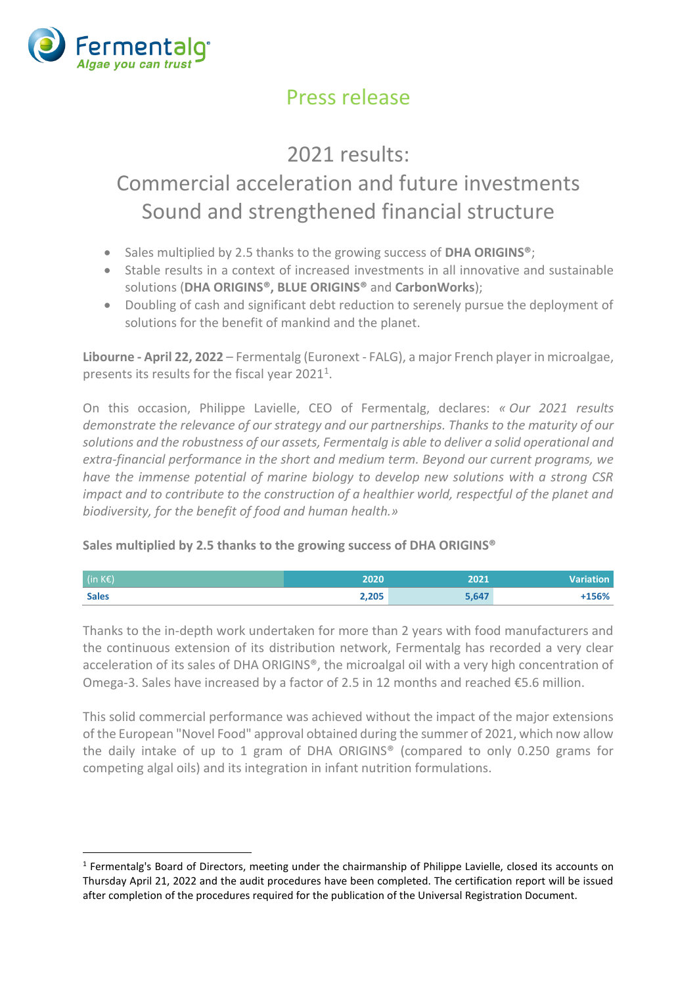

### Press release

## 2021 results: Commercial acceleration and future investments Sound and strengthened financial structure

- Sales multiplied by 2.5 thanks to the growing success of **DHA ORIGINS®**;
- Stable results in a context of increased investments in all innovative and sustainable solutions (**DHA ORIGINS®, BLUE ORIGINS®** and **CarbonWorks**);
- Doubling of cash and significant debt reduction to serenely pursue the deployment of solutions for the benefit of mankind and the planet.

**Libourne - April 22, 2022** – Fermentalg (Euronext - FALG), a major French player in microalgae, presents its results for the fiscal year  $2021<sup>1</sup>$ .

On this occasion, Philippe Lavielle, CEO of Fermentalg, declares: *« Our 2021 results demonstrate the relevance of our strategy and our partnerships. Thanks to the maturity of our solutions and the robustness of our assets, Fermentalg is able to deliver a solid operational and extra-financial performance in the short and medium term. Beyond our current programs, we have the immense potential of marine biology to develop new solutions with a strong CSR impact and to contribute to the construction of a healthier world, respectful of the planet and biodiversity, for the benefit of food and human health.»*

#### **Sales multiplied by 2.5 thanks to the growing success of DHA ORIGINS®**

| $\int$ (in KE) | 2020  | 2021  | <b>Variation</b> |
|----------------|-------|-------|------------------|
| <b>Sales</b>   | 2,205 | 5,647 | $+156%$          |

Thanks to the in-depth work undertaken for more than 2 years with food manufacturers and the continuous extension of its distribution network, Fermentalg has recorded a very clear acceleration of its sales of DHA ORIGINS®, the microalgal oil with a very high concentration of Omega-3. Sales have increased by a factor of 2.5 in 12 months and reached €5.6 million.

This solid commercial performance was achieved without the impact of the major extensions of the European "Novel Food" approval obtained during the summer of 2021, which now allow the daily intake of up to 1 gram of DHA ORIGINS® (compared to only 0.250 grams for competing algal oils) and its integration in infant nutrition formulations.

<sup>&</sup>lt;sup>1</sup> Fermentalg's Board of Directors, meeting under the chairmanship of Philippe Lavielle, closed its accounts on Thursday April 21, 2022 and the audit procedures have been completed. The certification report will be issued after completion of the procedures required for the publication of the Universal Registration Document.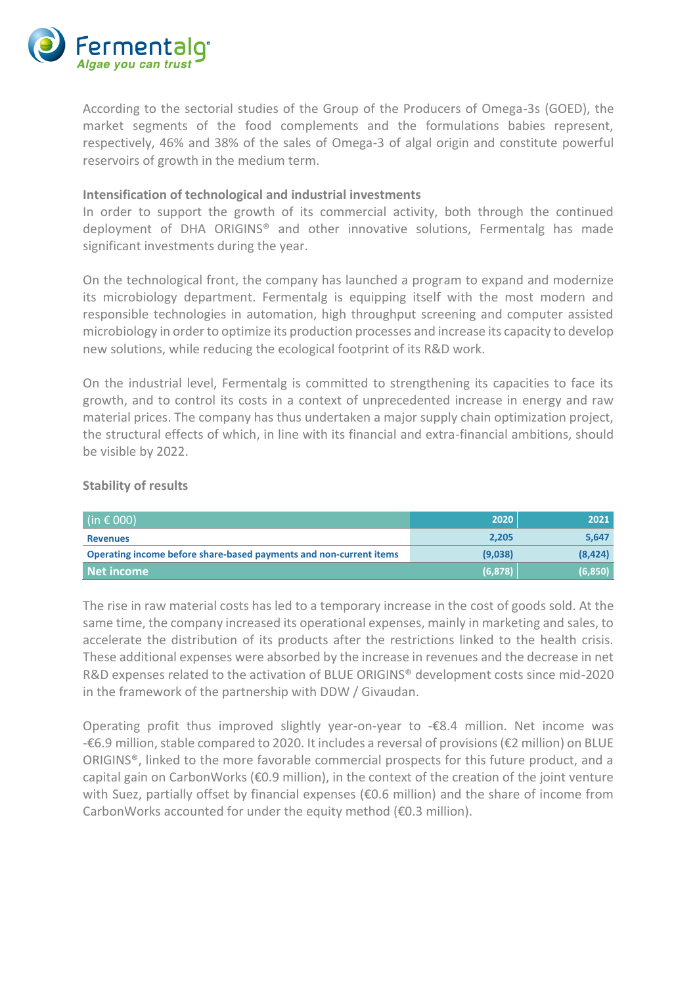

According to the sectorial studies of the Group of the Producers of Omega-3s (GOED), the market segments of the food complements and the formulations babies represent, respectively, 46% and 38% of the sales of Omega-3 of algal origin and constitute powerful reservoirs of growth in the medium term.

#### **Intensification of technological and industrial investments**

In order to support the growth of its commercial activity, both through the continued deployment of DHA ORIGINS® and other innovative solutions, Fermentalg has made significant investments during the year.

On the technological front, the company has launched a program to expand and modernize its microbiology department. Fermentalg is equipping itself with the most modern and responsible technologies in automation, high throughput screening and computer assisted microbiology in order to optimize its production processes and increase its capacity to develop new solutions, while reducing the ecological footprint of its R&D work.

On the industrial level, Fermentalg is committed to strengthening its capacities to face its growth, and to control its costs in a context of unprecedented increase in energy and raw material prices. The company has thus undertaken a major supply chain optimization project, the structural effects of which, in line with its financial and extra-financial ambitions, should be visible by 2022.

#### **Stability of results**

| (in € 000)                                                         | 2020     | 2021    |
|--------------------------------------------------------------------|----------|---------|
| <b>Revenues</b>                                                    | 2,205    | 5,647   |
| Operating income before share-based payments and non-current items | (9,038)  | (8,424) |
| Net income                                                         | (6, 878) | (6,850) |

The rise in raw material costs has led to a temporary increase in the cost of goods sold. At the same time, the company increased its operational expenses, mainly in marketing and sales, to accelerate the distribution of its products after the restrictions linked to the health crisis. These additional expenses were absorbed by the increase in revenues and the decrease in net R&D expenses related to the activation of BLUE ORIGINS® development costs since mid-2020 in the framework of the partnership with DDW / Givaudan.

Operating profit thus improved slightly year-on-year to -€8.4 million. Net income was -€6.9 million, stable compared to 2020. It includes a reversal of provisions (€2 million) on BLUE ORIGINS®, linked to the more favorable commercial prospects for this future product, and a capital gain on CarbonWorks (€0.9 million), in the context of the creation of the joint venture with Suez, partially offset by financial expenses (€0.6 million) and the share of income from CarbonWorks accounted for under the equity method (€0.3 million).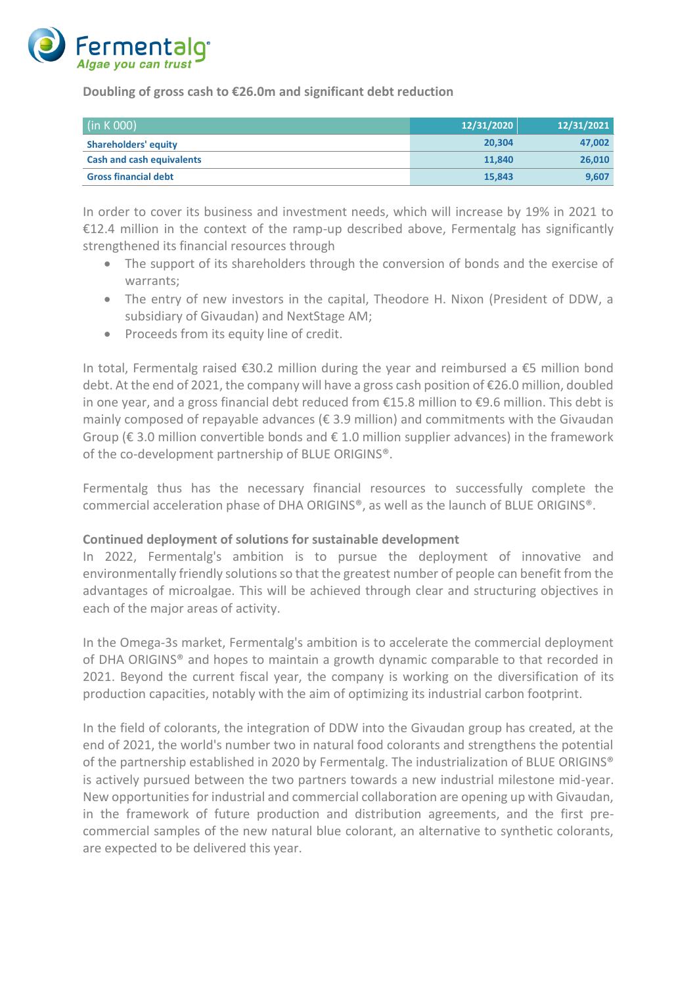

**Doubling of gross cash to €26.0m and significant debt reduction**

| (in K 000)                       | 12/31/2020 | 12/31/2021 |
|----------------------------------|------------|------------|
| <b>Shareholders' equity</b>      | 20.304     | 47.002     |
| <b>Cash and cash equivalents</b> | 11.840     | 26,010     |
| <b>Gross financial debt</b>      | 15,843     | 9,607      |

In order to cover its business and investment needs, which will increase by 19% in 2021 to €12.4 million in the context of the ramp-up described above, Fermentalg has significantly strengthened its financial resources through

- The support of its shareholders through the conversion of bonds and the exercise of warrants;
- The entry of new investors in the capital, Theodore H. Nixon (President of DDW, a subsidiary of Givaudan) and NextStage AM;
- Proceeds from its equity line of credit.

In total, Fermentalg raised €30.2 million during the year and reimbursed a €5 million bond debt. At the end of 2021, the company will have a gross cash position of €26.0 million, doubled in one year, and a gross financial debt reduced from €15.8 million to €9.6 million. This debt is mainly composed of repayable advances ( $\epsilon$  3.9 million) and commitments with the Givaudan Group ( $\epsilon$  3.0 million convertible bonds and  $\epsilon$  1.0 million supplier advances) in the framework of the co-development partnership of BLUE ORIGINS®.

Fermentalg thus has the necessary financial resources to successfully complete the commercial acceleration phase of DHA ORIGINS®, as well as the launch of BLUE ORIGINS®.

#### **Continued deployment of solutions for sustainable development**

In 2022, Fermentalg's ambition is to pursue the deployment of innovative and environmentally friendly solutions so that the greatest number of people can benefit from the advantages of microalgae. This will be achieved through clear and structuring objectives in each of the major areas of activity.

In the Omega-3s market, Fermentalg's ambition is to accelerate the commercial deployment of DHA ORIGINS® and hopes to maintain a growth dynamic comparable to that recorded in 2021. Beyond the current fiscal year, the company is working on the diversification of its production capacities, notably with the aim of optimizing its industrial carbon footprint.

In the field of colorants, the integration of DDW into the Givaudan group has created, at the end of 2021, the world's number two in natural food colorants and strengthens the potential of the partnership established in 2020 by Fermentalg. The industrialization of BLUE ORIGINS® is actively pursued between the two partners towards a new industrial milestone mid-year. New opportunities for industrial and commercial collaboration are opening up with Givaudan, in the framework of future production and distribution agreements, and the first precommercial samples of the new natural blue colorant, an alternative to synthetic colorants, are expected to be delivered this year.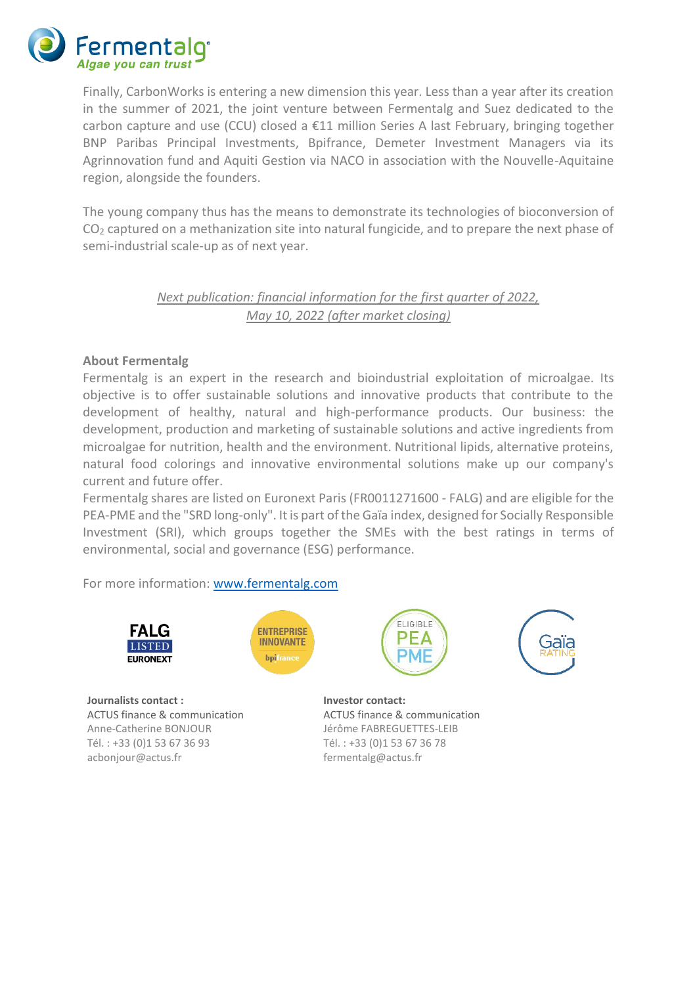

Finally, CarbonWorks is entering a new dimension this year. Less than a year after its creation in the summer of 2021, the joint venture between Fermentalg and Suez dedicated to the carbon capture and use (CCU) closed a €11 million Series A last February, bringing together BNP Paribas Principal Investments, Bpifrance, Demeter Investment Managers via its Agrinnovation fund and Aquiti Gestion via NACO in association with the Nouvelle-Aquitaine region, alongside the founders.

The young company thus has the means to demonstrate its technologies of bioconversion of CO<sup>2</sup> captured on a methanization site into natural fungicide, and to prepare the next phase of semi-industrial scale-up as of next year.

#### *Next publication: financial information for the first quarter of 2022, May 10, 2022 (after market closing)*

#### **About Fermentalg**

Fermentalg is an expert in the research and bioindustrial exploitation of microalgae. Its objective is to offer sustainable solutions and innovative products that contribute to the development of healthy, natural and high-performance products. Our business: the development, production and marketing of sustainable solutions and active ingredients from microalgae for nutrition, health and the environment. Nutritional lipids, alternative proteins, natural food colorings and innovative environmental solutions make up our company's current and future offer.

Fermentalg shares are listed on Euronext Paris (FR0011271600 - FALG) and are eligible for the PEA-PME and the "SRD long-only". It is part of the Gaïa index, designed for Socially Responsible Investment (SRI), which groups together the SMEs with the best ratings in terms of environmental, social and governance (ESG) performance.

#### For more information: [www.fermentalg.com](http://www.fermentalg.com/)





**Journalists contact : Investor contact:** ACTUS finance & communication Anne-Catherine BONJOUR Tél. : +33 (0)1 53 67 36 93 acbonjour@actus.fr

ACTUS finance & communication Jérôme FABREGUETTES-LEIB Tél. : +33 (0)1 53 67 36 78 [fermentalg@actus.fr](mailto:fermentalg@actus.fr)

ELIGIBLE

PE∆

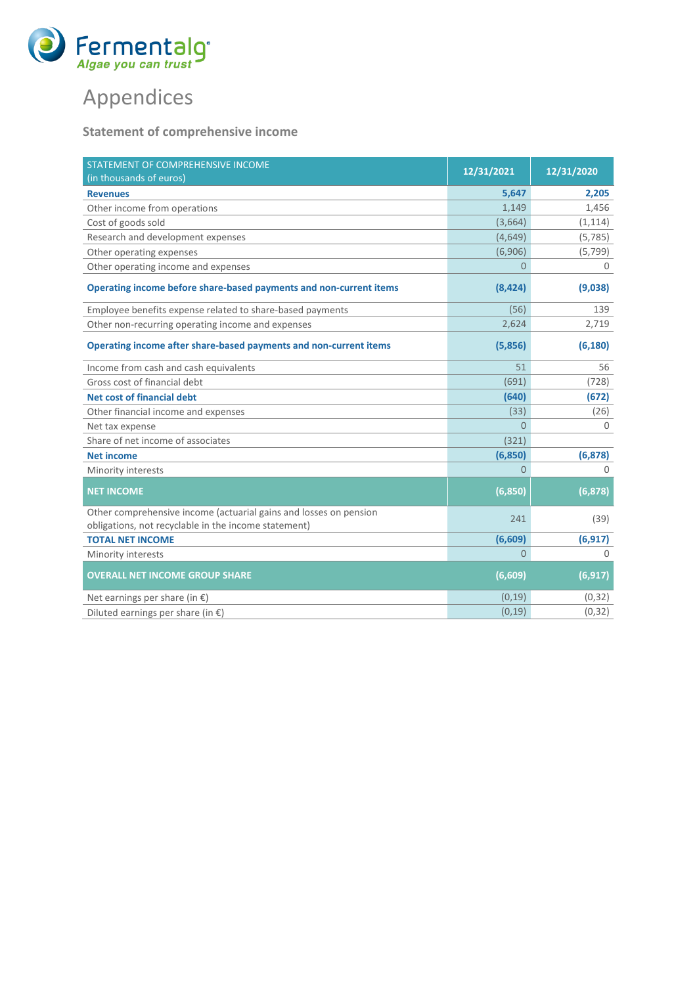

# Appendices

### **Statement of comprehensive income**

| STATEMENT OF COMPREHENSIVE INCOME<br>(in thousands of euros)       | 12/31/2021 | 12/31/2020  |
|--------------------------------------------------------------------|------------|-------------|
| <b>Revenues</b>                                                    | 5,647      | 2,205       |
| Other income from operations                                       | 1,149      | 1,456       |
| Cost of goods sold                                                 | (3,664)    | (1, 114)    |
| Research and development expenses                                  | (4,649)    | (5, 785)    |
| Other operating expenses                                           | (6,906)    | (5, 799)    |
| Other operating income and expenses                                | $\Omega$   | $\mathbf 0$ |
| Operating income before share-based payments and non-current items | (8,424)    | (9,038)     |
| Employee benefits expense related to share-based payments          | (56)       | 139         |
| Other non-recurring operating income and expenses                  | 2,624      | 2,719       |
| Operating income after share-based payments and non-current items  | (5,856)    | (6, 180)    |
| Income from cash and cash equivalents                              | 51         | 56          |
| Gross cost of financial debt                                       | (691)      | (728)       |
| <b>Net cost of financial debt</b>                                  | (640)      | (672)       |
| Other financial income and expenses                                | (33)       | (26)        |
| Net tax expense                                                    | $\Omega$   | $\Omega$    |
| Share of net income of associates                                  | (321)      |             |
| <b>Net income</b>                                                  | (6,850)    | (6, 878)    |
| Minority interests                                                 | $\Omega$   | $\cap$      |
| <b>NET INCOME</b>                                                  | (6, 850)   | (6, 878)    |
| Other comprehensive income (actuarial gains and losses on pension  | 241        | (39)        |
| obligations, not recyclable in the income statement)               |            |             |
| <b>TOTAL NET INCOME</b>                                            | (6,609)    | (6, 917)    |
| Minority interests                                                 | $\Omega$   | $\cap$      |
| <b>OVERALL NET INCOME GROUP SHARE</b>                              | (6,609)    | (6, 917)    |
| Net earnings per share (in $\epsilon$ )                            | (0, 19)    | (0, 32)     |
| Diluted earnings per share (in $\epsilon$ )                        | (0, 19)    | (0, 32)     |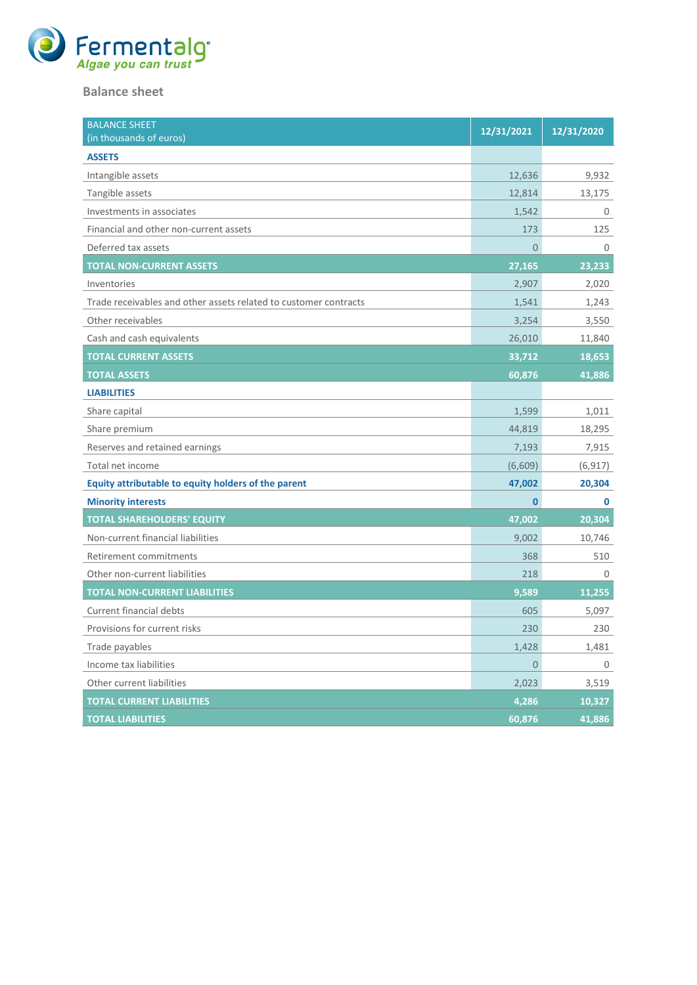

#### **Balance sheet**

| <b>BALANCE SHEET</b><br>(in thousands of euros)                  | 12/31/2021     | 12/31/2020 |
|------------------------------------------------------------------|----------------|------------|
| <b>ASSETS</b>                                                    |                |            |
| Intangible assets                                                | 12,636         | 9,932      |
| Tangible assets                                                  | 12,814         | 13,175     |
| Investments in associates                                        | 1,542          | 0          |
| Financial and other non-current assets                           | 173            | 125        |
| Deferred tax assets                                              | $\overline{0}$ | $\Omega$   |
| <b>TOTAL NON-CURRENT ASSETS</b>                                  | 27,165         | 23,233     |
| Inventories                                                      | 2,907          | 2,020      |
| Trade receivables and other assets related to customer contracts | 1,541          | 1,243      |
| Other receivables                                                | 3,254          | 3,550      |
| Cash and cash equivalents                                        | 26,010         | 11,840     |
| <b>TOTAL CURRENT ASSETS</b>                                      | 33,712         | 18,653     |
| <b>TOTAL ASSETS</b>                                              | 60,876         | 41,886     |
| <b>LIABILITIES</b>                                               |                |            |
| Share capital                                                    | 1,599          | 1,011      |
| Share premium                                                    | 44,819         | 18,295     |
| Reserves and retained earnings                                   | 7,193          | 7,915      |
| Total net income                                                 | (6,609)        | (6, 917)   |
| Equity attributable to equity holders of the parent              | 47,002         | 20,304     |
| <b>Minority interests</b>                                        | $\bf{0}$       | 0          |
| <b>TOTAL SHAREHOLDERS' EQUITY</b>                                | 47,002         | 20,304     |
| Non-current financial liabilities                                | 9,002          | 10,746     |
| Retirement commitments                                           | 368            | 510        |
| Other non-current liabilities                                    | 218            | 0          |
| <b>TOTAL NON-CURRENT LIABILITIES</b>                             | 9,589          | 11,255     |
| Current financial debts                                          | 605            | 5,097      |
| Provisions for current risks                                     | 230            | 230        |
| Trade payables                                                   | 1,428          | 1,481      |
| Income tax liabilities                                           | $\overline{0}$ | 0          |
| Other current liabilities                                        | 2,023          | 3,519      |
| <b>TOTAL CURRENT LIABILITIES</b>                                 | 4,286          | 10,327     |
| <b>TOTAL LIABILITIES</b>                                         | 60,876         | 41,886     |